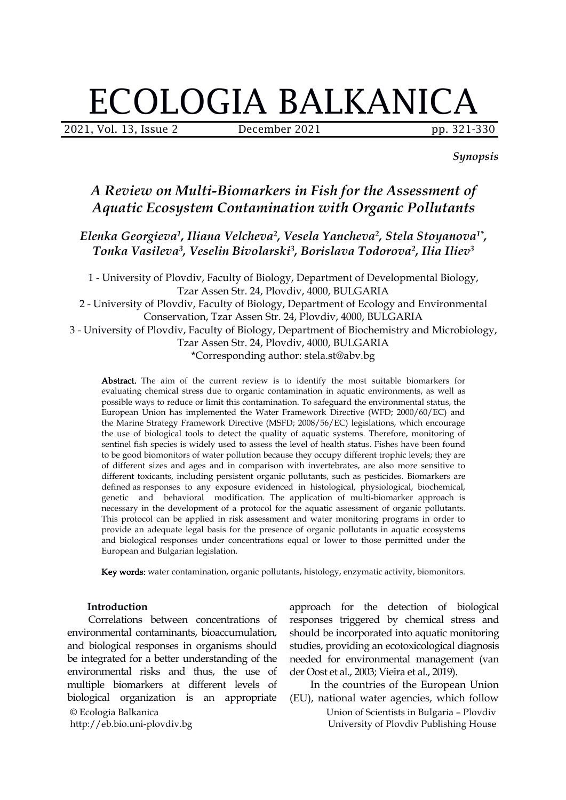# ECOLOGIA BALKANICA

2021, Vol. 13, Issue 2 **December 2021** pp. 321-330

*Synopsis*

## *A Review on Multi-Biomarkers in Fish for the Assessment of Aquatic Ecosystem Contamination with Organic Pollutants*

*Elenka Georgieva 1 , Iliana Velcheva 2 , Vesela Yancheva 2 , Stela Stoyanova 1\* , Tonka Vasileva 3 , Veselin Bivolarski 3 , Borislava Todorova 2 , Ilia Iliev 3*

1 - University of Plovdiv, Faculty of Biology, Department of Developmental Biology, Tzar Assen Str. 24, Plovdiv, 4000, BULGARIA 2 - University of Plovdiv, Faculty of Biology, Department of Ecology and Environmental Conservation, Tzar Assen Str. 24, Plovdiv, 4000, BULGARIA 3 - University of Plovdiv, Faculty of Biology, Department of Biochemistry and Microbiology, Tzar Assen Str. 24, Plovdiv, 4000, BULGARIA \*Corresponding author: stela.st@abv.bg

Abstract. The aim of the current review is to identify the most suitable biomarkers for evaluating chemical stress due to organic contamination in aquatic environments, as well as possible ways to reduce or limit this contamination. To safeguard the environmental status, the European Union has implemented the Water Framework Directive (WFD; 2000/60/EC) and the Marine Strategy Framework Directive (MSFD; 2008/56/EC) legislations, which encourage the use of biological tools to detect the quality of aquatic systems. Therefore, monitoring of sentinel fish species is widely used to assess the level of health status. Fishes have been found to begood biomonitors of water pollution because they occupy different trophic levels; they are of different sizes and ages and in comparison with invertebrates, are also more sensitive to different toxicants, including persistent organic pollutants, such as pesticides. Biomarkers are defined as responses to any exposure evidenced in histological, physiological, biochemical, genetic and behavioral modification. The application of multi-biomarker approach is necessary in the development of a protocol for the aquatic assessment of organic pollutants. This protocol can be applied in risk assessment and water monitoring programs in order to provide an adequate legal basis for the presence of organic pollutants in aquatic ecosystems and biological responses under concentrations equal or lower to those permitted under the European and Bulgarian legislation.

Key words: water contamination, organic pollutants, histology, enzymatic activity, biomonitors.

#### **Introduction**

© Ecologia Balkanica http://eb.bio.uni-plovdiv.bg Correlations between concentrations of environmental contaminants, bioaccumulation, and biological responses in organisms should be integrated for a better understanding of the environmental risks and thus, the use of multiple biomarkers at different levels of biological organization is an appropriate

approach for the detection of biological responses triggered by chemical stress and should be incorporated into aquatic monitoring studies, providing an ecotoxicological diagnosis needed for environmental management (van der Oost et al., 2003; Vieira et al., 2019).

In the countries of the European Union (EU), national water agencies, which follow

> Union of Scientists in Bulgaria – Plovdiv University of Plovdiv Publishing House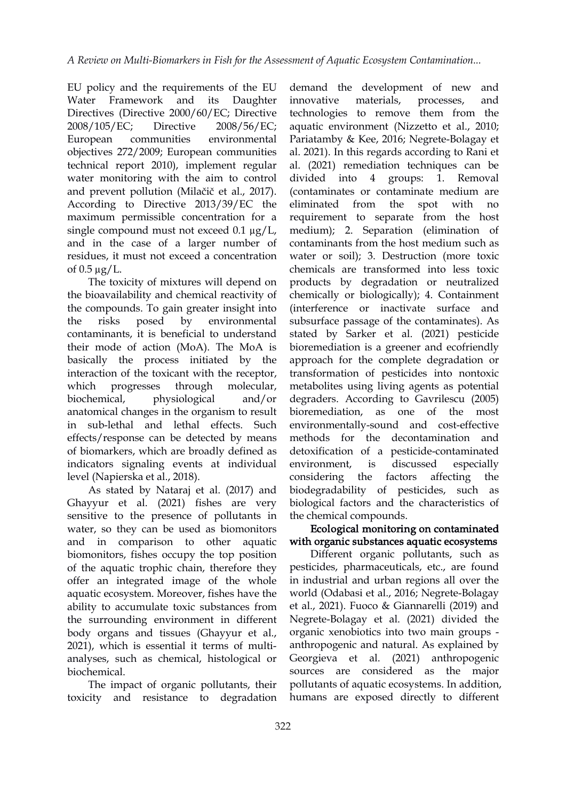EU policy and the requirements of the EU Water Framework and its Daughter innovative Directives (Directive 2000/60/EC; Directive 2008/105/EC; Directive 2008/56/EC; European communities environmental objectives 272/2009; European communities technical report 2010), implement regular water monitoring with the aim to control and prevent pollution (Milačič et al., 2017). According to Directive 2013/39/EC the eliminated maximum permissible concentration for a single compound must not exceed  $0.1 \mu g/L$ , and in the case of a larger number of residues, it must not exceed a concentration of  $0.5 \mu$ g/L.

The toxicity of mixtures will depend on the bioavailability and chemical reactivity of the compounds. To gain greater insight into the risks posed by environmental contaminants, it is beneficial to understand their mode of action (MoA). The MoA is basically the process initiated by the interaction of the toxicant with the receptor, which progresses through molecular, anatomical changes in the organism to result in sub-lethal and lethal effects. Such effects/response can be detected by means of biomarkers, which are broadly defined as indicators signaling events at individual level (Napierska et al., 2018).

As stated by Nataraj et al. (2017) and Ghayyur et al. (2021) fishes are very sensitive to the presence of pollutants in water, so they can be used as biomonitors and in comparison to other aquatic biomonitors, fishes occupy the top position of the aquatic trophic chain, therefore they offer an integrated image of the whole aquatic ecosystem. Moreover, fishes have the ability to accumulate toxic substances from the surrounding environment in different body organs and tissues (Ghayyur et al., 2021), which is essential it terms of multi analyses, such as chemical, histological or biochemical.

The impact of organic pollutants, their toxicity and resistance to degradation

biochemical, physiological and/or degraders. According to Gavrilescu (2005) demand the development of new and materials, processes, and technologies to remove them from the aquatic environment (Nizzetto et al., 2010; Pariatamby & Kee, 2016; Negrete-Bolagay et al. 2021). In this regards according to Rani et al. (2021) remediation techniques can be divided into 4 groups: 1. Removal (contaminates or contaminate medium are from the spot with no requirement to separate from the host medium); 2. Separation (elimination of contaminants from the host medium such as water or soil); 3. Destruction (more toxic chemicals are transformed into less toxic products by degradation or neutralized chemically or biologically); 4. Containment (interference or inactivate surface and subsurface passage of the contaminates). As stated by Sarker et al. (2021) pesticide bioremediation is a greener and ecofriendly approach for the complete degradation or transformation of pesticides into nontoxic metabolites using living agents as potential bioremediation, as one of the most environmentally-sound and cost-effective methods for the decontamination and detoxification of a pesticide-contaminated environment, is discussed especially considering the factors affecting the biodegradability of pesticides, such as biological factors and the characteristics of the chemical compounds.

## Ecological monitoring on contaminated with organic substances aquatic ecosystems

Different organic pollutants, such as pesticides, pharmaceuticals, etc., are found in industrial and urban regions all over the world (Odabasi et al., 2016; Negrete-Bolagay et al., 2021). Fuoco & Giannarelli (2019) and Negrete-Bolagay et al. (2021) divided the organic xenobiotics into two main groups anthropogenic and natural. As explained by Georgieva et al. (2021) anthropogenic sources are considered as the major pollutants of aquatic ecosystems. In addition, humans are exposed directly to different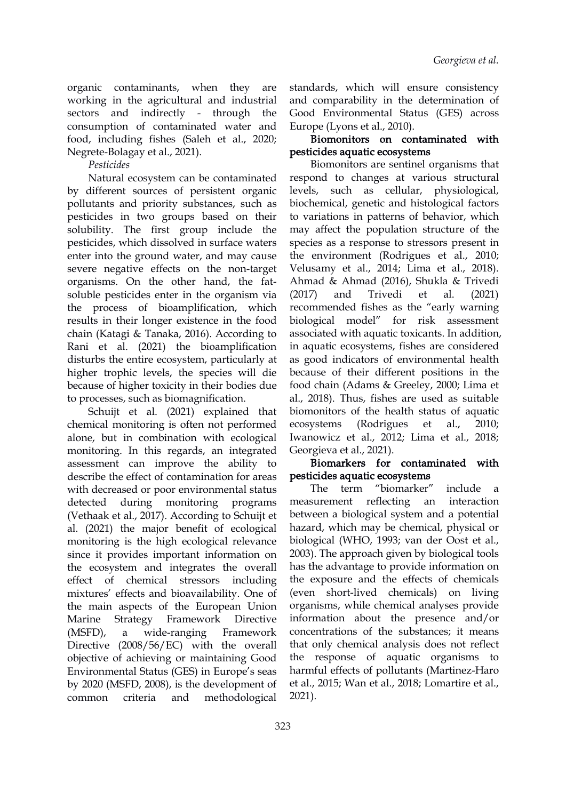organic contaminants, when they are working in the agricultural and industrial sectors and indirectly - through the consumption of contaminated water and food, including fishes (Saleh et al., 2020; Negrete-Bolagay et al., 2021).

## *Pesticides*

Natural ecosystem can be contaminated by different sources of persistent organic pollutants and priority substances, such as pesticides in two groups based on their solubility. The first group include the pesticides, which dissolved in surface waters enter into the ground water, and may cause severe negative effects on the non-target organisms. On the other hand, the fat soluble pesticides enter in the organism via (2017) and Trivedi et the process of bioamplification, which results in their longer existence in the food biological model" chain (Katagi & Tanaka, 2016). According to Rani et al. (2021) the bioamplification disturbs the entire ecosystem, particularly at higher trophic levels, the species will die because of higher toxicity in their bodies due to processes, such as biomagnification.

Schuijt et al. (2021) explained that chemical monitoring is often not performed alone, but in combination with ecological monitoring. In this regards, an integrated assessment can improve the ability to describe the effect of contamination for areas with decreased or poor environmental status The term detected during monitoring programs (Vethaak et al., 2017). According to Schuijt et al. (2021) the major benefit of ecological monitoring is the high ecological relevance since it provides important information on the ecosystem and integrates the overall effect of chemical stressors including mixtures' effects and bioavailability. One of the main aspects of the European Union Marine Strategy Framework Directive information about the presence and/or (MSFD), a wide-ranging Framework concentrations of the substances; it means Directive (2008/56/EC) with the overall objective of achieving or maintaining Good Environmental Status (GES) in Europe's seas by 2020 (MSFD, 2008), is the development of common criteria and methodological

standards, which will ensure consistency and comparability in the determination of Good Environmental Status (GES) across Europe (Lyons et al., 2010).

## Biomonitors on contaminated with pesticides aquatic ecosystems

Biomonitors are sentinel organisms that respond to changes at various structural levels, such as cellular, physiological, biochemical, genetic and histological factors to variations in patterns of behavior, which may affect the population structure of the species as a response to stressors present in the environment (Rodrigues et al., 2010; Velusamy et al., 2014; Lima et al., 2018). Ahmad & Ahmad (2016), Shukla & Trivedi Trivedi et al. (2021) recommended fishes as the "early warning for risk assessment associated with aquatic toxicants. In addition, in aquatic ecosystems, fishes are considered as good indicators of environmental health because of their different positions in the food chain (Adams & Greeley, 2000; Lima et al., 2018). Thus, fishes are used as suitable biomonitors of the health status of aquatic (Rodrigues et al., 2010; Iwanowicz et al., 2012; Lima et al., 2018; Georgieva et al., 2021).

### Biomarkers for contaminated with pesticides aquatic ecosystems

"biomarker" include a measurement reflecting an interaction between a biological system and a potential hazard, which may be chemical, physical or biological (WHO, 1993; van der Oost et al., 2003). The approach given by biological tools has the advantage to provide information on the exposure and the effects of chemicals (even short-lived chemicals) on living organisms, while chemical analyses provide that only chemical analysis does not reflect the response of aquatic organisms to harmful effects of pollutants (Martinez-Haro et al., 2015; Wan et al., 2018; Lomartire et al., 2021).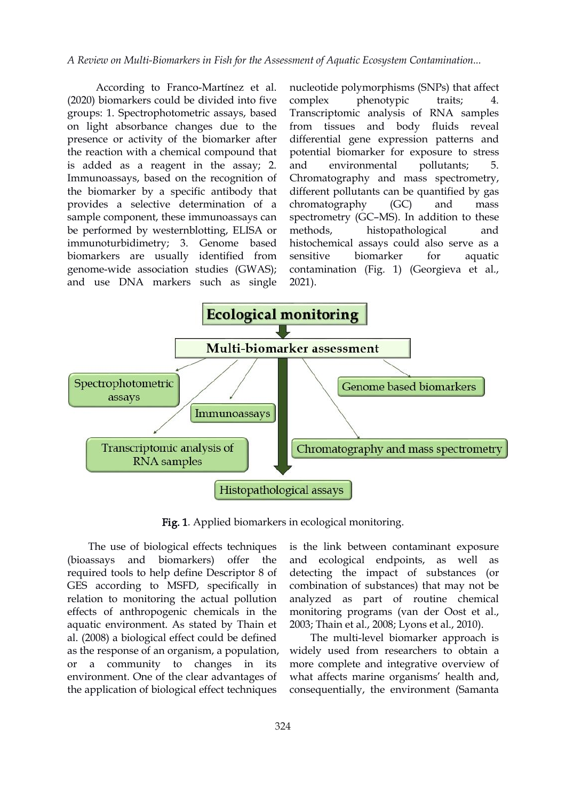According to Franco-Martínez et al. (2020) biomarkers could be divided into five groups: 1. Spectrophotometric assays, based on light absorbance changes due to the presence or activity of the biomarker after the reaction with a chemical compound that is added as a reagent in the assay; 2. Immunoassays, based on the recognition of the biomarker by a specific antibody that provides a selective determination of a sample component, these immunoassays can be performed by westernblotting, ELISA or immunoturbidimetry; 3. Genome based biomarkers are usually identified from genome-wide association studies (GWAS); and use DNA markers such as single

nucleotide polymorphisms (SNPs) that affect phenotypic traits; Transcriptomic analysis of RNA samples from tissues and body fluids reveal differential gene expression patterns and potential biomarker for exposure to stress environmental pollutants; 5. Chromatography and mass spectrometry, different pollutants can be quantified by gas chromatography (GC) and mass spectrometry (GC–MS). In addition to these histopathological and histochemical assays could also serve as a biomarker for aquatic contamination (Fig. 1) (Georgieva et al., 2021).



Fig. 1. Applied biomarkers in ecological monitoring.

The use of biological effects techniques required tools to help define Descriptor 8 of GES according to MSFD, specifically in relation to monitoring the actual pollution effects of anthropogenic chemicals in the aquatic environment. As stated by Thain et al. (2008) a biological effect could be defined as the response of an organism, a population, or a community to changes in its environment. One of the clear advantages of the application of biological effect techniques

(bioassays and biomarkers) offer the and ecological endpoints, as well as is the link between contaminant exposure detecting the impact of substances (or combination of substances) that may not be analyzed as part of routine chemical monitoring programs (van der Oost et al., 2003; Thain et al., 2008; Lyons et al., 2010).

> The multi-level biomarker approach is widely used from researchers to obtain a more complete and integrative overview of what affects marine organisms' health and, consequentially, the environment (Samanta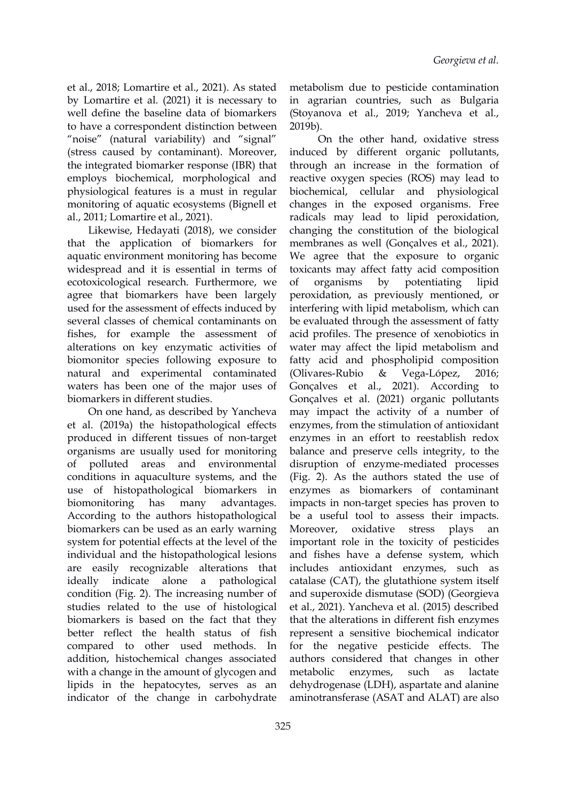et al., 2018; Lomartire et al., 2021). As stated by Lomartire et al.(2021) it is necessary to well define the baseline data of biomarkers to have a correspondent distinction between 2019b). "noise" (natural variability) and "signal" (stress caused by contaminant). Moreover, the integrated biomarker response (IBR) that employs biochemical, morphological and physiological features is a must in regular monitoring of aquatic ecosystems (Bignell et al., 2011; Lomartire et al., 2021).

Likewise, Hedayati (2018), we consider that the application of biomarkers for aquatic environment monitoring has become widespread and it is essential in terms of ecotoxicological research. Furthermore, we agree that biomarkers have been largely used for the assessment of effects induced by several classes of chemical contaminants on fishes, for example the assessment of alterations on key enzymatic activities of biomonitor species following exposure to natural and experimental contaminated (Olivares-Rubio & waters has been one of the major uses of biomarkers in different studies.

On one hand, as described by Yancheva et al. (2019a) the histopathological effects produced in different tissues of non-target organisms are usually used for monitoring of polluted areas and environmental conditions in aquaculture systems, and the use of histopathological biomarkers in biomonitoring has many advantages. According to the authors histopathological biomarkers can be used as an early warning Moreover, system for potential effects at the level of the individual and the histopathological lesions are easily recognizable alterations that ideally indicate alone a pathological condition (Fig. 2). The increasing number of studies related to the use of histological biomarkers is based on the fact that they better reflect the health status of fish compared to other used methods. In addition, histochemical changes associated with a change in the amount of glycogen and metabolic lipids in the hepatocytes, serves as an indicator of the change in carbohydrate

metabolism due to pesticide contamination in agrarian countries, such as Bulgaria (Stoyanova et al., 2019; Yancheva et al.,

On the other hand, oxidative stress induced by different organic pollutants, through an increase in the formation of reactive oxygen species (ROS) may lead to cellular and physiological changes in the exposed organisms. Free radicals may lead to lipid peroxidation, changing the constitution of the biological membranes as well (Gonçalves et al., 2021). We agree that the exposure to organic toxicants may affect fatty acid composition by potentiating lipid peroxidation, as previously mentioned, or interfering with lipid metabolism, which can be evaluated through the assessment of fatty acid profiles. The presence of xenobiotics in water may affect the lipid metabolism and fatty acid and phospholipid composition (Olivares-Rubio & Vega-López, 2016; Gonçalves et al., 2021). According to Gonçalves et al. (2021) organic pollutants may impact the activity of a number of enzymes, from the stimulation of antioxidant enzymes in an effort to reestablish redox balance and preserve cells integrity, to the disruption of enzyme-mediated processes (Fig. 2). As the authors stated the use of enzymes as biomarkers of contaminant impacts in non-target species has proven to be a useful tool to assess their impacts. oxidative stress plays an important role in the toxicity of pesticides and fishes have a defense system, which includes antioxidant enzymes, such as catalase (CAT), the glutathione system itself and superoxide dismutase (SOD) (Georgieva et al., 2021). Yancheva et al. (2015) described that the alterations in different fish enzymes represent a sensitive biochemical indicator for the negative pesticide effects. The authors considered that changes in other enzymes, such as lactate dehydrogenase (LDH), aspartate and alanine aminotransferase (ASAT and ALAT) are also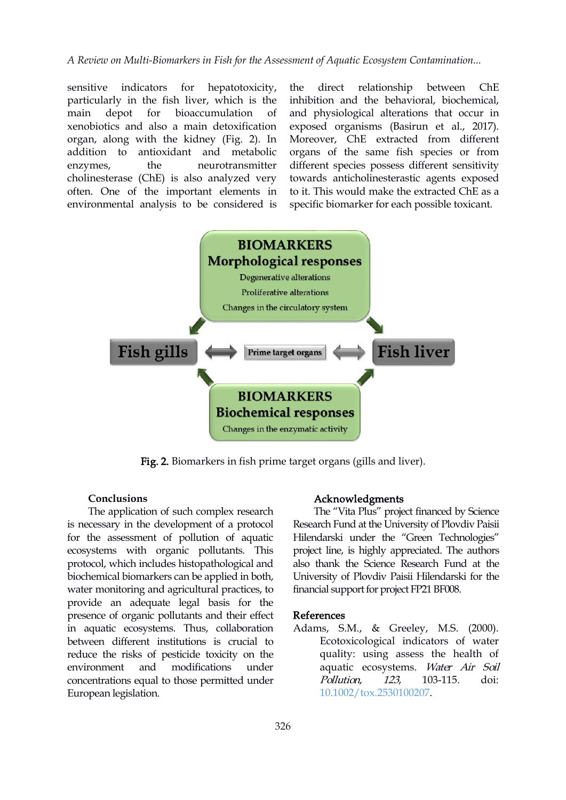sensitive indicators for hepatotoxicity, the direct particularly in the fish liver, which is the xenobiotics and also a main detoxification organ, along with the kidney (Fig. 2). In addition to antioxidant and metabolic enzymes, the neurotransmitter cholinesterase (ChE) is also analyzed very often. One of the important elements in environmental analysis to be considered is

main depot for bioaccumulation of and physiological alterations that occur in relationship between ChE inhibition and the behavioral, biochemical, exposed organisms (Basirun et al., 2017). Moreover, ChE extracted from different organs of the same fish species or from different species possess different sensitivity towards anticholinesterastic agents exposed to it. This would make the extracted ChE as a specific biomarker for each possible toxicant.



Fig. 2. Biomarkers in fish prime target organs (gills and liver).

#### **Conclusions**

The application of such complex research is necessary in the development of a protocol for the assessment of pollution of aquatic ecosystems with organic pollutants. This protocol, which includes histopathological and biochemical biomarkers can be applied in both, water monitoring and agricultural practices, to provide an adequate legal basis for the presence of organic pollutants and their effect in aquatic ecosystems. Thus, collaboration between different institutions is crucial to reduce the risks of pesticide toxicity on the environment and modifications under concentrations equal to those permitted under European legislation.

#### Acknowledgments

The "Vita Plus" project financed by Science Research Fund at the University of Plovdiv Paisii Hilendarski under the "Green Technologies" project line, is highly appreciated. The authors also thank the Science Research Fund at the University of Plovdiv Paisii Hilendarski for the financial support for project FP21 BF008.

#### References

Adams, S.M., & Greeley, M.S. (2000). Ecotoxicological indicators of water quality: using assess the health of aquatic ecosystems. Water Air Soil Pollution, 123, 103-115. doi: [10.1002/tox.2530100207](https://doi.org/10.1002/tox.2530100207).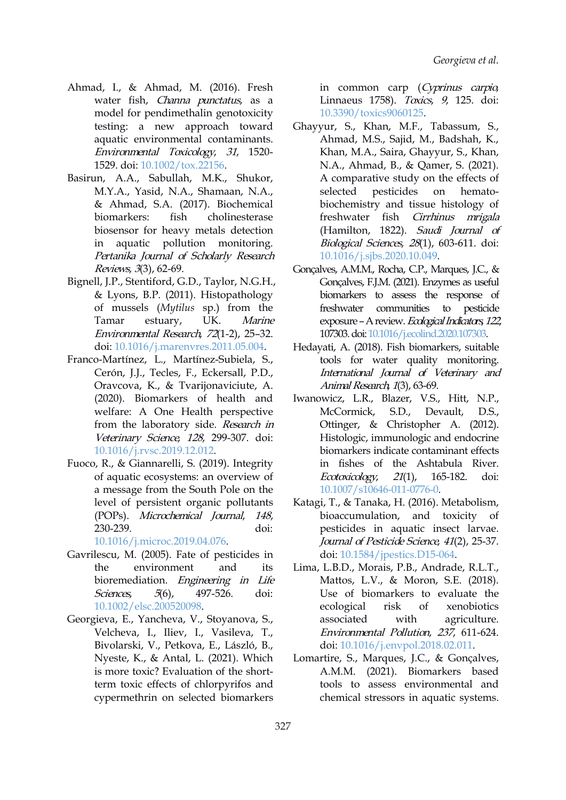- Ahmad, I., & Ahmad, M. (2016). Fresh water fish, Channa punctatus, as a model for pendimethalin genotoxicity testing: a new approach toward aquatic environmental contaminants. Environmental Toxicology, <sup>31</sup>, 1520- 1529. doi: [10.1002/tox.22156](https://doi.org/10.1002/tox.22156).
- Basirun, A.A., Sabullah, M.K., Shukor, M.Y.A., Yasid, N.A., Shamaan, N.A., & Ahmad, S.A. (2017). Biochemical biomarkers: fish cholinesterase biosensor for heavy metals detection in aquatic pollution monitoring. Pertanika Journal of Scholarly Research Reviews, 3(3), 62-69.
- Bignell, J.P., Stentiford, G.D., Taylor, N.G.H., & Lyons, B.P. (2011). Histopathology of mussels (*Mytilus* sp.) from the Environmental Research, 72(1-2), 25–32. doi: [10.1016/j.marenvres.2011.05.004.](https://doi.org/10.1016/j.marenvres.2011.05.004)
- Franco-Martínez, L., Martínez-Subiela, S., Cerón, J.J., Tecles, F., Eckersall, P.D., Oravcova, K., & Tvarijonaviciute, A. (2020). Biomarkers of health and welfare: A One Health perspective from the laboratory side. Research in Veterinary Science, 128, 299-307. doi: [10.1016/j.rvsc.2019.12.012.](https://doi.org/10.1016/j.rvsc.2019.12.012)
- Fuoco, R., & Giannarelli, S. (2019). Integrity of aquatic ecosystems: an overview of *Ecotoxicology*, 21(1), a message from the South Pole on the level of persistent organic pollutants (POPs). Microchemical Journal, 148, 230-239. doi:

[10.1016/j.microc.2019.04.076.](https://doi.org/10.1016/j.microc.2019.04.076)

- Gavrilescu, M. (2005). Fate of pesticides in bioremediation. Engineering in Life Sciences, 5(6), 497-526. doi: [10.1002/elsc.200520098.](https://doi.org/10.1002/elsc.200520098)
- Georgieva, E., Yancheva, V., Stoyanova, S., Velcheva, I., Iliev, I., Vasileva, T., Bivolarski, V., Petkova, E., László, B., Nyeste, K., & Antal, L. (2021). Which is more toxic? Evaluation of the shortterm toxic effects of chlorpyrifos and cypermethrin on selected biomarkers

in common carp (Cyprinus carpio, Linnaeus 1758). Toxics, 9, 125. doi: [10.3390/toxics9060125.](https://doi.org/10.3390/toxics9060125)

- Ghayyur, S., Khan, M.F., Tabassum, S., Ahmad, M.S., Sajid, M., Badshah, K., Khan, M.A., Saira, Ghayyur, S., Khan, N.A., Ahmad, B., & Qamer, S. (2021). A comparative study on the effects of pesticides on hematobiochemistry and tissue histology of freshwater fish Cirrhinus mrigala (Hamilton, 1822). Saudi Journal of Biological Sciences, <sup>28</sup>(1), 603-611. doi: [10.1016/j.sjbs.2020.10.049](https://doi.org/10.1016/j.sjbs.2020.10.049).
- Tamar estuary, UK. *Marine* exposure A review. *Ecological Indicators, 122,* Gonçalves, A.M.M., Rocha, C.P., Marques, J.C., & Gonçalves, F.J.M. (2021). Enzymes as useful biomarkers to assess the response of communities to pesticide 107303.doi:[10.1016/j.ecolind.2020.107303](https://doi.org/10.1016/j.ecolind.2020.107303).
	- Hedayati, A. (2018). Fish biomarkers, suitable tools for water quality monitoring. International Journal of Veterinary and Animal Research, 1(3), 63-69.
	- Iwanowicz, L.R., Blazer, V.S., Hitt, N.P., McCormick, S.D., Devault, D.S., Ottinger, & Christopher A. (2012). Histologic, immunologic and endocrine biomarkers indicate contaminant effects in fishes of the Ashtabula River. Ecotoxicology, <sup>21</sup>(1), 165-182. doi: [10.1007/s10646-011-0776-0](https://doi.org/10.1007/s10646-011-0776-0).
	- Katagi, T., & Tanaka, H. (2016). Metabolism, bioaccumulation, and toxicity of pesticides in aquatic insect larvae. Journal of Pesticide Science, 41(2), 25-37. doi: [10.1584/jpestics.D15-064](https://doi.org/10.1584/jpestics.D15-064).
- the environment and its Lima, L.B.D., Morais, P.B., Andrade, R.L.T., Mattos, L.V., & Moron, S.E. (2018). Use of biomarkers to evaluate the ecological risk of xenobiotics with agriculture. Environmental Pollution, 237, 611-624. doi: [10.1016/j.envpol.2018.02.011](https://doi.org/10.1016/j.envpol.2018.02.011).
	- Lomartire, S., Marques, J.C., & Gonçalves, A.M.M. (2021). Biomarkers based tools to assess environmental and chemical stressors in aquatic systems.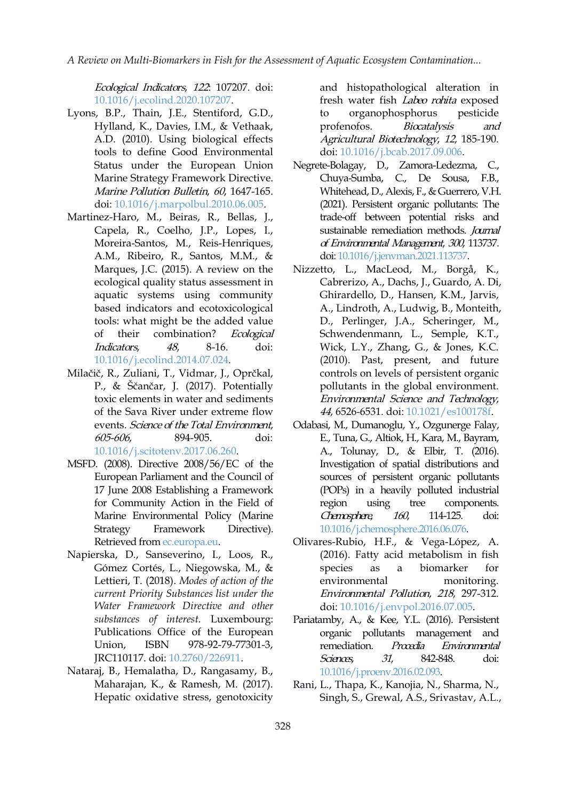Ecological Indicators, <sup>122</sup>: 107207. doi: [10.1016/j.ecolind.2020.107207](https://doi.org/10.1016/j.ecolind.2020.107207).

- Lyons, B.P., Thain, J.E., Stentiford, G.D., Hylland, K., Davies, I.M., & Vethaak, A.D. (2010). Using biological effects tools to define Good Environmental Status under the European Union Marine Strategy Framework Directive. Marine Pollution Bulletin, 60, 1647-165. doi: [10.1016/j.marpolbul.2010.06.005](https://doi.org/10.1016/j.marpolbul.2010.06.005).
- Martinez-Haro, M., Beiras, R., Bellas, J., Capela, R., Coelho, J.P., Lopes, I., Moreira-Santos, M., Reis-Henriques, A.M., Ribeiro, R., Santos, M.M., & Marques, J.C. (2015). A review on the ecological quality status assessment in aquatic systems using community based indicators and ecotoxicological tools: what might be the added value of their combination? Ecological Indicators, 48, 8-16. doi: [10.1016/j.ecolind.2014.07.024](https://doi.org/10.1016/j.ecolind.2014.07.024).
- Milačič, R., Zuliani, T., Vidmar, J., Oprčkal, P., & Ščančar, J. (2017). Potentially toxic elements in water and sediments of the Sava River under extreme flow events. Science of the Total Environment, 605-606, 894-905. doi: [10.1016/j.scitotenv.2017.06.260](https://doi.org/10.1016/j.scitotenv.2017.06.260).
- MSFD. (2008). Directive 2008/56/EC of the European Parliament and the Council of 17 June 2008 Establishing a Framework for Community Action in the Field of Marine Environmental Policy (Marine Strategy Framework Directive). Retrieved from [ec.europa.eu](http://ec.europa.eu/environment/water/marine/index_en.htm).
- Napierska, D., Sanseverino, I., Loos, R., Gómez Cortés, L., Niegowska, M., & Lettieri, T. (2018). *Modes of action of the current Priority Substances list under the Water Framework Directive and other substances of interest.* Luxembourg: Publications Office of the European Union, ISBN 978-92-79-77301-3, remediation. JRC110117. doi: [10.2760/226911](https://doi.org/10.2760/226911).
- Nataraj, B., Hemalatha, D., Rangasamy, B., Maharajan, K., & Ramesh, M. (2017). Hepatic oxidative stress, genotoxicity

and histopathological alteration in fresh water fish Labeo rohita exposed organophosphorus pesticide Biocatalysis and Agricultural Biotechnology, <sup>12</sup>, 185-190. doi: [10.1016/j.bcab.2017.09.006](http://dx.doi.org/10.1016/j.bcab.2017.09.006).

- Negrete-Bolagay, D., Zamora-Ledezma, C., Chuya-Sumba, C., De Sousa, F.B., Whitehead, D., Alexis, F., & Guerrero, V.H. (2021). Persistent organic pollutants: The trade-off between potential risks and sustainable remediation methods. Journal of Environmental Management, <sup>300</sup>, 113737. doi: [10.1016/j.jenvman.2021.113737](https://doi.org/10.1016/j.jenvman.2021.113737).
- Nizzetto, L., MacLeod, M., Borgå, K., Cabrerizo, A., Dachs, J., Guardo, A. Di, Ghirardello, D., Hansen, K.M., Jarvis, A., Lindroth, A., Ludwig, B., Monteith, D., Perlinger, J.A., Scheringer, M., Schwendenmann, L., Semple, K.T., Wick, L.Y., Zhang, G., & Jones, K.C. (2010). Past, present, and future controls on levels of persistent organic pollutants in the global environment. Environmental Science and Technology, 44, 6526-6531. doi: [10.1021/es100178f.](https://doi.org/10.1021/es100178f)
- Odabasi, M., Dumanoglu, Y., Ozgunerge Falay, E., Tuna, G., Altiok, H., Kara, M., Bayram, A., Tolunay, D., & Elbir, T. (2016). Investigation of spatial distributions and sources of persistent organic pollutants (POPs) in a heavily polluted industrial tree components. Chemosphere, 160, 114-125. doi: [10.1016/j.chemosphere.2016.06.076](https://doi.org/10.1016/j.chemosphere.2016.06.076).
- Olivares-Rubio, H.F., & Vega-López, A. (2016). Fatty acid metabolism in fish biomarker for environmental monitoring. Environmental Pollution, 218, 297-312. doi: [10.1016/j.envpol.2016.07.005](http://dx.doi.org/10.1016/j.envpol.2016.07.005).
- Pariatamby, A., & Kee, Y.L. (2016). Persistent organic pollutants management and Procedia Environmental Sciences, 31, 842-848. doi: [10.1016/j.proenv.2016.02.093.](https://doi.org/10.1016/j.proenv.2016.02.093)
- Rani, L., Thapa, K., Kanojia, N., Sharma, N., Singh, S., Grewal, A.S., Srivastav, A.L.,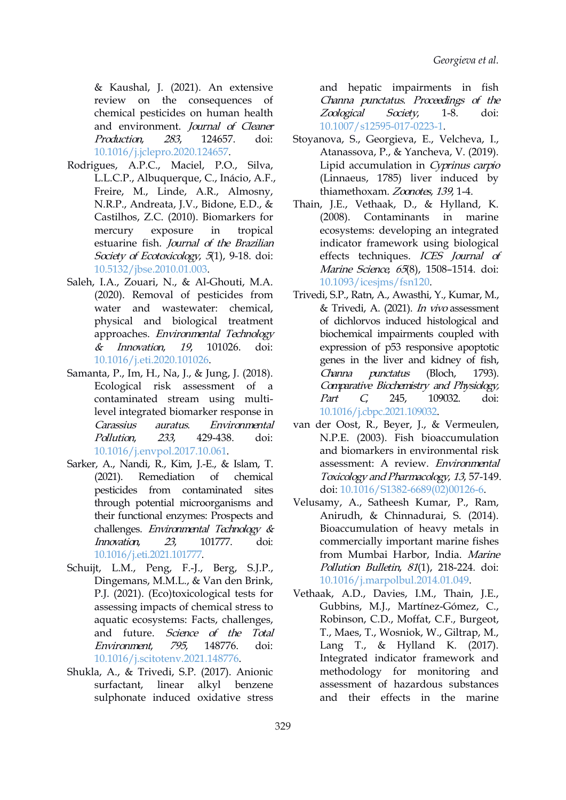& Kaushal, J. (2021). An extensive review on the consequences of chemical pesticides on human health *Zoological Society*, and environment. Journal of Cleaner Production, 283, 124657. doi: [10.1016/j.jclepro.2020.124657](https://doi.org/10.1016/j.jclepro.2020.124657).

- Rodrigues, A.P.C., Maciel, P.O., Silva, L.L.C.P., Albuquerque, C., Inácio, A.F., Freire, M., Linde, A.R., Almosny, N.R.P., Andreata, J.V., Bidone, E.D., & Castilhos, Z.C. (2010). Biomarkers for mercury exposure in tropical estuarine fish. Journal of the Brazilian Society of Ecotoxicology, 5(1), 9-18. doi: [10.5132/jbse.2010.01.003.](https://doi.org/10.5132/jbse.2010.01.003)
- Saleh, I.A., Zouari, N., & Al-Ghouti, M.A. (2020). Removal of pesticides from water and wastewater: chemical, physical and biological treatment approaches. Environmental Technology & Innovation, 19, 101026. doi: [10.1016/j.eti.2020.101026](https://doi.org/10.1016/j.eti.2020.101026).
- Samanta, P., Im, H., Na, J., & Jung, J. (2018). Ecological risk assessment of a contaminated stream using multilevel integrated biomarker response in Carassius auratus. Environmental Pollution, 233, 429-438. doi: [10.1016/j.envpol.2017.10.061](https://doi.org/10.1016/j.envpol.2017.10.061).
- Sarker, A., Nandi, R., Kim, J.-E., & Islam, T. (2021). Remediation of chemical pesticides from contaminated sites through potential microorganisms and their functional enzymes: Prospects and challenges. Environmental Technology & Innovation, 23, 101777. doi: [10.1016/j.eti.2021.101777.](https://doi.org/10.1016/j.eti.2021.101777)
- Schuijt, L.M., Peng, F.-J., Berg, S.J.P., Dingemans, M.M.L., & Van den Brink, P.J. (2021). (Eco)toxicological tests for assessing impacts of chemical stress to aquatic ecosystems: Facts, challenges, and future. Science of the Total Environment, 795, 148776. doi: [10.1016/j.scitotenv.2021.148776](https://doi.org/10.1016/j.scitotenv.2021.148776).
- Shukla, A., & Trivedi, S.P. (2017). Anionic surfactant, linear alkyl benzene sulphonate induced oxidative stress

and hepatic impairments in fish Channa punctatus. Proceedings of the Zoological Society, 1-8. doi: [10.1007/s12595-017-0223-1](https://doi.org/10.1007/s12595-017-0223-1).

- Stoyanova, S., Georgieva, E., Velcheva, I., Atanassova, P., & Yancheva, V. (2019). Lipid accumulation in Cyprinus carpio (Linnaeus, 1785) liver induced by thiamethoxam. Zoonotes, 139, 1-4.
- Thain, J.E., Vethaak, D., & Hylland, K. Contaminants in marine ecosystems: developing an integrated indicator framework using biological effects techniques. ICES Journal of Marine Science, 65(8), 1508-1514. doi: [10.1093/icesjms/fsn120.](https://doi.org/10.1093/icesjms/fsn120)
- Trivedi, S.P., Ratn, A., Awasthi, Y., Kumar, M., & Trivedi, A. (2021). In vivo assessment of dichlorvos induced histological and biochemical impairments coupled with expression of p53 responsive apoptotic genes in the liver and kidney of fish, punctatus (Bloch, 1793). Comparative Biochemistry and Physiology, 245, 109032. doi: [10.1016/j.cbpc.2021.109032.](https://doi.org/10.1016/j.cbpc.2021.109032)
- van der Oost, R., Beyer, J., & Vermeulen, N.P.E. (2003). Fish bioaccumulation and biomarkers in environmental risk assessment: A review. Environmental Toxicology and Pharmacology, 13, 57-149. doi: [10.1016/S1382-6689\(02\)00126-6.](https://doi.org/10.1016/S1382-6689(02)00126-6)
- Velusamy, A., Satheesh Kumar, P., Ram, Anirudh, & Chinnadurai, S. (2014). Bioaccumulation of heavy metals in commercially important marine fishes from Mumbai Harbor, India. Marine Pollution Bulletin, 81(1), 218-224. doi: [10.1016/j.marpolbul.2014.01.049](https://doi.org/10.1016/j.marpolbul.2014.01.049).
- Vethaak, A.D., Davies, I.M., Thain, J.E., Gubbins, M.J., Martínez-Gómez, C., Robinson, C.D., Moffat, C.F., Burgeot, T., Maes, T., Wosniok, W., Giltrap, M., Lang T., & Hylland K. (2017). Integrated indicator framework and methodology for monitoring and assessment of hazardous substances and their effects in the marine